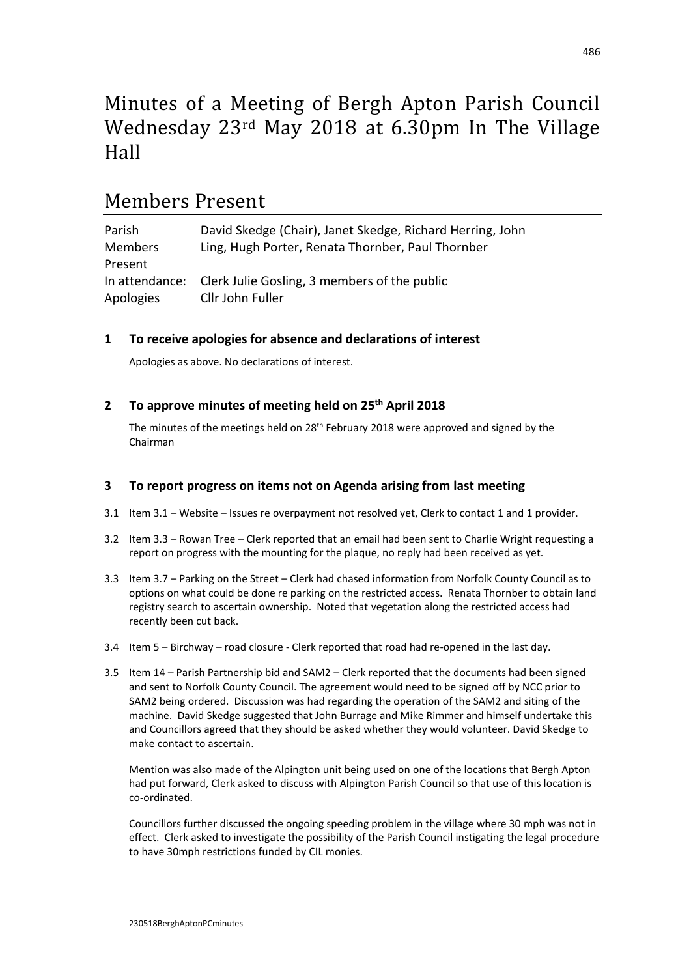# Minutes of a Meeting of Bergh Apton Parish Council Wednesday 23rd May 2018 at 6.30pm In The Village Hall

## Members Present

| Parish         | David Skedge (Chair), Janet Skedge, Richard Herring, John |
|----------------|-----------------------------------------------------------|
| <b>Members</b> | Ling, Hugh Porter, Renata Thornber, Paul Thornber         |
| Present        |                                                           |
| In attendance: | Clerk Julie Gosling, 3 members of the public              |
| Apologies      | Cllr John Fuller                                          |

## **1 To receive apologies for absence and declarations of interest**

Apologies as above. No declarations of interest.

**2 To approve minutes of meeting held on 25 th April 2018**

The minutes of the meetings held on 28<sup>th</sup> February 2018 were approved and signed by the Chairman

## **3 To report progress on items not on Agenda arising from last meeting**

- 3.1 Item 3.1 Website Issues re overpayment not resolved yet, Clerk to contact 1 and 1 provider.
- 3.2 Item 3.3 Rowan Tree Clerk reported that an email had been sent to Charlie Wright requesting a report on progress with the mounting for the plaque, no reply had been received as yet.
- 3.3 Item 3.7 Parking on the Street Clerk had chased information from Norfolk County Council as to options on what could be done re parking on the restricted access. Renata Thornber to obtain land registry search to ascertain ownership. Noted that vegetation along the restricted access had recently been cut back.
- 3.4 Item 5 Birchway road closure Clerk reported that road had re-opened in the last day.
- 3.5 Item 14 Parish Partnership bid and SAM2 Clerk reported that the documents had been signed and sent to Norfolk County Council. The agreement would need to be signed off by NCC prior to SAM2 being ordered. Discussion was had regarding the operation of the SAM2 and siting of the machine. David Skedge suggested that John Burrage and Mike Rimmer and himself undertake this and Councillors agreed that they should be asked whether they would volunteer. David Skedge to make contact to ascertain.

Mention was also made of the Alpington unit being used on one of the locations that Bergh Apton had put forward, Clerk asked to discuss with Alpington Parish Council so that use of this location is co-ordinated.

Councillors further discussed the ongoing speeding problem in the village where 30 mph was not in effect. Clerk asked to investigate the possibility of the Parish Council instigating the legal procedure to have 30mph restrictions funded by CIL monies.

230518BerghAptonPCminutes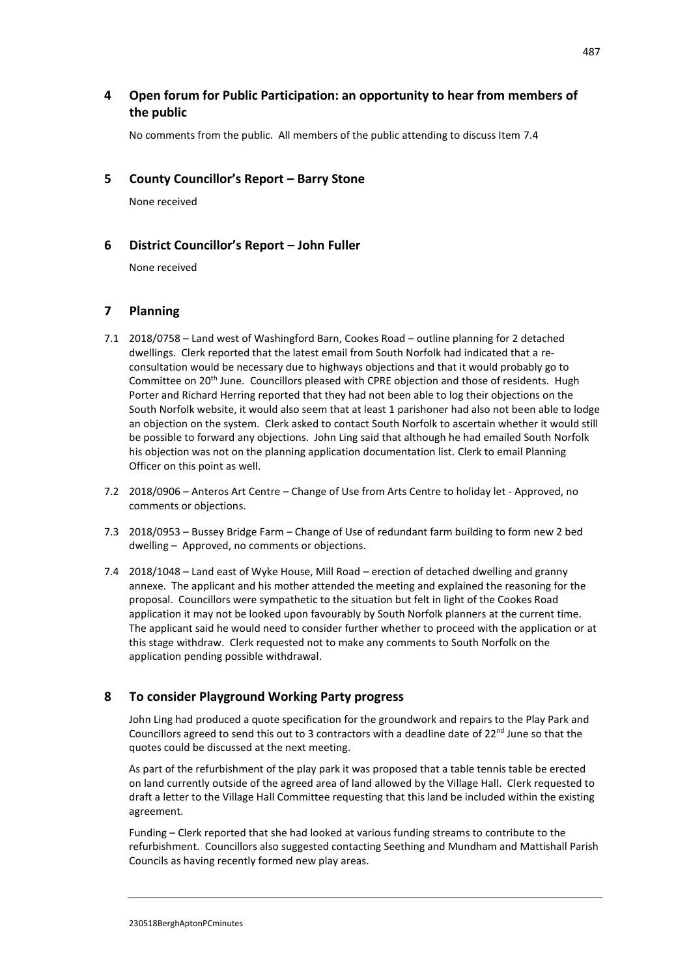## **4 Open forum for Public Participation: an opportunity to hear from members of the public**

No comments from the public. All members of the public attending to discuss Item 7.4

#### **5 County Councillor's Report – Barry Stone**

None received

#### **6 District Councillor's Report – John Fuller**

None received

## **7 Planning**

- 7.1 2018/0758 Land west of Washingford Barn, Cookes Road outline planning for 2 detached dwellings. Clerk reported that the latest email from South Norfolk had indicated that a reconsultation would be necessary due to highways objections and that it would probably go to Committee on 20th June. Councillors pleased with CPRE objection and those of residents. Hugh Porter and Richard Herring reported that they had not been able to log their objections on the South Norfolk website, it would also seem that at least 1 parishoner had also not been able to lodge an objection on the system. Clerk asked to contact South Norfolk to ascertain whether it would still be possible to forward any objections. John Ling said that although he had emailed South Norfolk his objection was not on the planning application documentation list. Clerk to email Planning Officer on this point as well.
- 7.2 2018/0906 Anteros Art Centre Change of Use from Arts Centre to holiday let Approved, no comments or objections.
- 7.3 2018/0953 Bussey Bridge Farm Change of Use of redundant farm building to form new 2 bed dwelling – Approved, no comments or objections.
- 7.4 2018/1048 Land east of Wyke House, Mill Road erection of detached dwelling and granny annexe. The applicant and his mother attended the meeting and explained the reasoning for the proposal. Councillors were sympathetic to the situation but felt in light of the Cookes Road application it may not be looked upon favourably by South Norfolk planners at the current time. The applicant said he would need to consider further whether to proceed with the application or at this stage withdraw. Clerk requested not to make any comments to South Norfolk on the application pending possible withdrawal.

## **8 To consider Playground Working Party progress**

John Ling had produced a quote specification for the groundwork and repairs to the Play Park and Councillors agreed to send this out to 3 contractors with a deadline date of  $22^{nd}$  June so that the quotes could be discussed at the next meeting.

As part of the refurbishment of the play park it was proposed that a table tennis table be erected on land currently outside of the agreed area of land allowed by the Village Hall. Clerk requested to draft a letter to the Village Hall Committee requesting that this land be included within the existing agreement.

Funding – Clerk reported that she had looked at various funding streams to contribute to the refurbishment. Councillors also suggested contacting Seething and Mundham and Mattishall Parish Councils as having recently formed new play areas.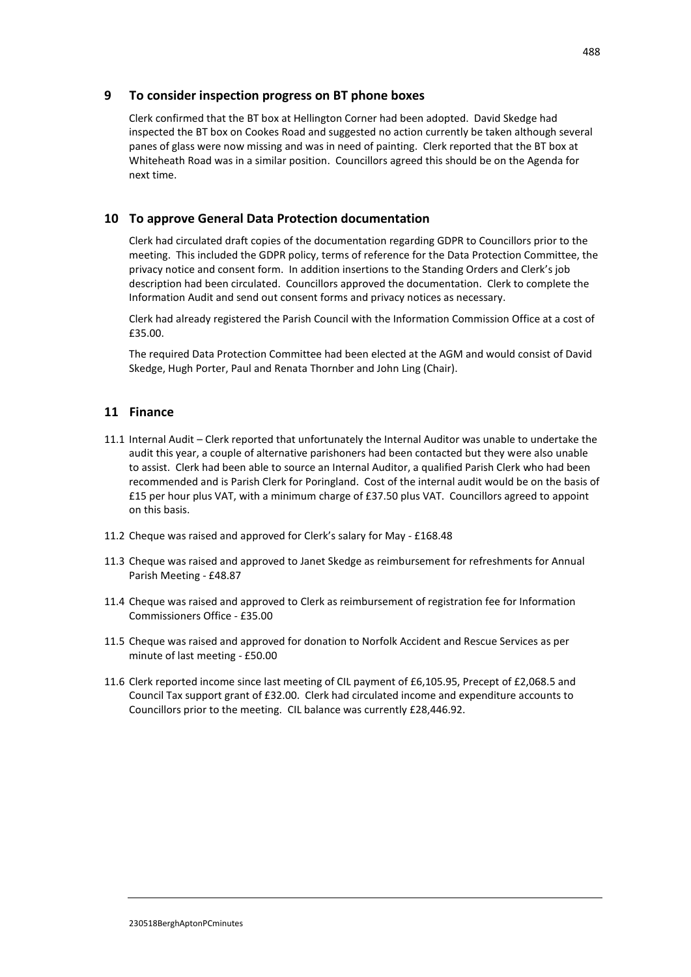#### **9 To consider inspection progress on BT phone boxes**

Clerk confirmed that the BT box at Hellington Corner had been adopted. David Skedge had inspected the BT box on Cookes Road and suggested no action currently be taken although several panes of glass were now missing and was in need of painting. Clerk reported that the BT box at Whiteheath Road was in a similar position. Councillors agreed this should be on the Agenda for next time.

#### **10 To approve General Data Protection documentation**

Clerk had circulated draft copies of the documentation regarding GDPR to Councillors prior to the meeting. This included the GDPR policy, terms of reference for the Data Protection Committee, the privacy notice and consent form. In addition insertions to the Standing Orders and Clerk's job description had been circulated. Councillors approved the documentation. Clerk to complete the Information Audit and send out consent forms and privacy notices as necessary.

Clerk had already registered the Parish Council with the Information Commission Office at a cost of £35.00.

The required Data Protection Committee had been elected at the AGM and would consist of David Skedge, Hugh Porter, Paul and Renata Thornber and John Ling (Chair).

#### **11 Finance**

- 11.1 Internal Audit Clerk reported that unfortunately the Internal Auditor was unable to undertake the audit this year, a couple of alternative parishoners had been contacted but they were also unable to assist. Clerk had been able to source an Internal Auditor, a qualified Parish Clerk who had been recommended and is Parish Clerk for Poringland. Cost of the internal audit would be on the basis of £15 per hour plus VAT, with a minimum charge of £37.50 plus VAT. Councillors agreed to appoint on this basis.
- 11.2 Cheque was raised and approved for Clerk's salary for May £168.48
- 11.3 Cheque was raised and approved to Janet Skedge as reimbursement for refreshments for Annual Parish Meeting - £48.87
- 11.4 Cheque was raised and approved to Clerk as reimbursement of registration fee for Information Commissioners Office - £35.00
- 11.5 Cheque was raised and approved for donation to Norfolk Accident and Rescue Services as per minute of last meeting - £50.00
- 11.6 Clerk reported income since last meeting of CIL payment of £6,105.95, Precept of £2,068.5 and Council Tax support grant of £32.00. Clerk had circulated income and expenditure accounts to Councillors prior to the meeting. CIL balance was currently £28,446.92.